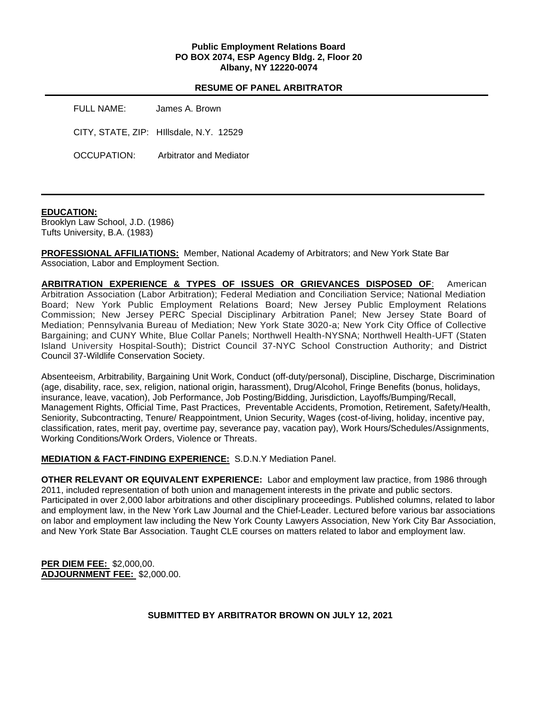#### **Public Employment Relations Board PO BOX 2074, ESP Agency Bldg. 2, Floor 20 Albany, NY 12220-0074**

### **RESUME OF PANEL ARBITRATOR**

| FULL NAME:  | James A. Brown                          |
|-------------|-----------------------------------------|
|             | CITY, STATE, ZIP: Hillsdale, N.Y. 12529 |
| OCCUPATION: | Arbitrator and Mediator                 |

#### **EDUCATION:**

Brooklyn Law School, J.D. (1986) Tufts University, B.A. (1983)

**PROFESSIONAL AFFILIATIONS:** Member, National Academy of Arbitrators; and New York State Bar Association, Labor and Employment Section.

**ARBITRATION EXPERIENCE & TYPES OF ISSUES OR GRIEVANCES DISPOSED OF**: American Arbitration Association (Labor Arbitration); Federal Mediation and Conciliation Service; National Mediation Board; New York Public Employment Relations Board; New Jersey Public Employment Relations Commission; New Jersey PERC Special Disciplinary Arbitration Panel; New Jersey State Board of Mediation; Pennsylvania Bureau of Mediation; New York State 3020-a; New York City Office of Collective Bargaining; and CUNY White, Blue Collar Panels; Northwell Health-NYSNA; Northwell Health-UFT (Staten Island University Hospital-South); District Council 37-NYC School Construction Authority; and District Council 37-Wildlife Conservation Society.

Absenteeism, Arbitrability, Bargaining Unit Work, Conduct (off-duty/personal), Discipline, Discharge, Discrimination (age, disability, race, sex, religion, national origin, harassment), Drug/Alcohol, Fringe Benefits (bonus, holidays, insurance, leave, vacation), Job Performance, Job Posting/Bidding, Jurisdiction, Layoffs/Bumping/Recall, Management Rights, Official Time, Past Practices, Preventable Accidents, Promotion, Retirement, Safety/Health, Seniority, Subcontracting, Tenure/ Reappointment, Union Security, Wages (cost-of-living, holiday, incentive pay, classification, rates, merit pay, overtime pay, severance pay, vacation pay), Work Hours/Schedules/Assignments, Working Conditions/Work Orders, Violence or Threats.

**MEDIATION & FACT-FINDING EXPERIENCE:** S.D.N.Y Mediation Panel.

**OTHER RELEVANT OR EQUIVALENT EXPERIENCE:** Labor and employment law practice, from 1986 through 2011, included representation of both union and management interests in the private and public sectors. Participated in over 2,000 labor arbitrations and other disciplinary proceedings. Published columns, related to labor and employment law, in the New York Law Journal and the Chief-Leader. Lectured before various bar associations on labor and employment law including the New York County Lawyers Association, New York City Bar Association, and New York State Bar Association. Taught CLE courses on matters related to labor and employment law.

**PER DIEM FEE:** \$2,000,00. **ADJOURNMENT FEE:** \$2,000.00.

**SUBMITTED BY ARBITRATOR BROWN ON JULY 12, 2021**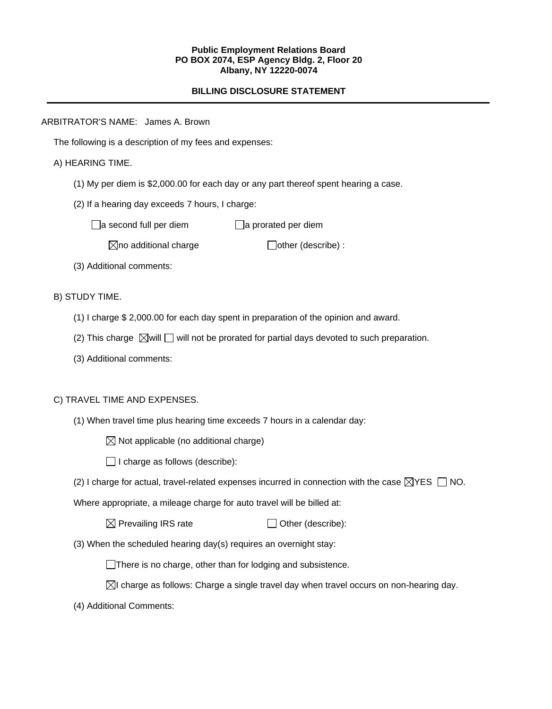#### **Public Employment Relations Board PO BOX 2074, ESP Agency Bldg. 2, Floor 20 Albany, NY 12220-0074**

# **BILLING DISCLOSURE STATEMENT**

ARBITRATOR'S NAME: James A. Brown

The following is a description of my fees and expenses:

# A) HEARING TIME.

- (1) My per diem is \$2,000.00 for each day or any part thereof spent hearing a case.
- (2) If a hearing day exceeds 7 hours, I charge:

 $\Box$ a second full per diem  $\Box$ a prorated per diem

 $\boxtimes$ no additional charge  $\Box$ other (describe) :

(3) Additional comments:

B) STUDY TIME.

- (1) I charge \$ 2,000.00 for each day spent in preparation of the opinion and award.
- (2) This charge  $\boxtimes$  will  $\Box$  will not be prorated for partial days devoted to such preparation.
- (3) Additional comments:

# C) TRAVEL TIME AND EXPENSES.

(1) When travel time plus hearing time exceeds 7 hours in a calendar day:

 $\boxtimes$  Not applicable (no additional charge)

 $\Box$  I charge as follows (describe):

(2) I charge for actual, travel-related expenses incurred in connection with the case  $\boxtimes$ YES  $\Box$  NO.

Where appropriate, a mileage charge for auto travel will be billed at:

 $\boxtimes$  Prevailing IRS rate  $\Box$  Other (describe):

(3) When the scheduled hearing day(s) requires an overnight stay:

There is no charge, other than for lodging and subsistence.

 $\boxtimes$ I charge as follows: Charge a single travel day when travel occurs on non-hearing day.

(4) Additional Comments: